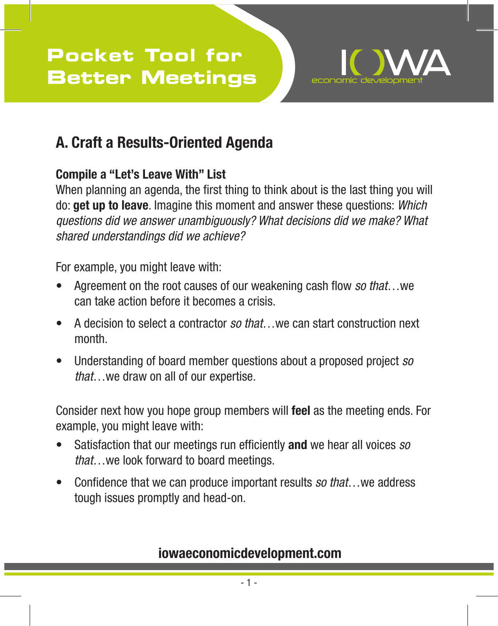

## **A. Craft a Results-Oriented Agenda**

### **Compile a "Let's Leave With" List**

When planning an agenda, the first thing to think about is the last thing you will do: **get up to leave**. Imagine this moment and answer these questions: *Which questions did we answer unambiguously? What decisions did we make? What shared understandings did we achieve?* 

For example, you might leave with:

- Agreement on the root causes of our weakening cash flow *so that*...we can take action before it becomes a crisis.
- • A decision to select a contractor *so that*…we can start construction next month.
- • Understanding of board member questions about a proposed project *so that*…we draw on all of our expertise.

Consider next how you hope group members will **feel** as the meeting ends. For example, you might leave with:

- Satisfaction that our meetings run efficiently and we hear all voices *so that*…we look forward to board meetings.
- Confidence that we can produce important results *so that*...we address tough issues promptly and head-on.

### **iowaeconomicdevelopment.com**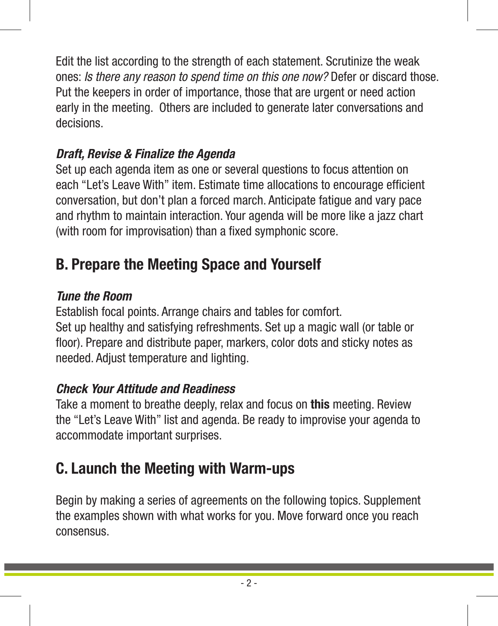Edit the list according to the strength of each statement. Scrutinize the weak ones: *Is there any reason to spend time on this one now?* Defer or discard those. Put the keepers in order of importance, those that are urgent or need action early in the meeting. Others are included to generate later conversations and decisions.

### *Draft, Revise & Finalize the Agenda*

Set up each agenda item as one or several questions to focus attention on each "Let's Leave With" item. Estimate time allocations to encourage efficient conversation, but don't plan a forced march. Anticipate fatigue and vary pace and rhythm to maintain interaction. Your agenda will be more like a jazz chart (with room for improvisation) than a fixed symphonic score.

## **B. Prepare the Meeting Space and Yourself**

### *Tune the Room*

Establish focal points. Arrange chairs and tables for comfort. Set up healthy and satisfying refreshments. Set up a magic wall (or table or floor). Prepare and distribute paper, markers, color dots and sticky notes as needed. Adjust temperature and lighting.

### *Check Your Attitude and Readiness*

Take a moment to breathe deeply, relax and focus on **this** meeting. Review the "Let's Leave With" list and agenda. Be ready to improvise your agenda to accommodate important surprises.

## **C. Launch the Meeting with Warm-ups**

Begin by making a series of agreements on the following topics. Supplement the examples shown with what works for you. Move forward once you reach consensus.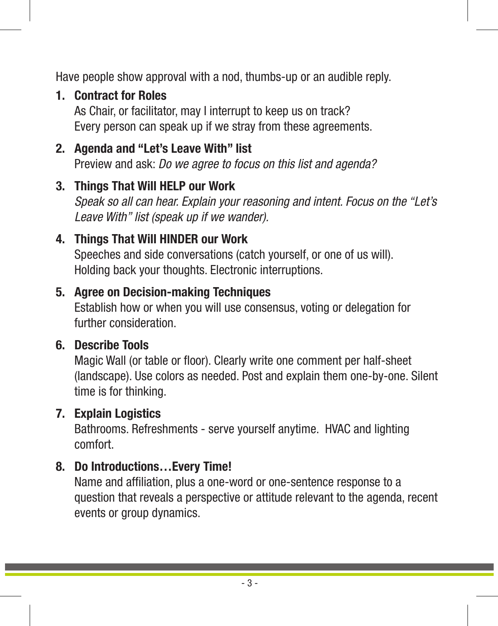Have people show approval with a nod, thumbs-up or an audible reply.

#### **1. Contract for Roles**

As Chair, or facilitator, may I interrupt to keep us on track? Every person can speak up if we stray from these agreements.

#### **2. Agenda and "Let's Leave With" list**

Preview and ask: *Do we agree to focus on this list and agenda?*

#### **3. Things That Will HELP our Work**

*Speak so all can hear. Explain your reasoning and intent. Focus on the "Let's Leave With" list (speak up if we wander).*

#### **4. Things That Will HINDER our Work**

Speeches and side conversations (catch yourself, or one of us will). Holding back your thoughts. Electronic interruptions.

#### **5. Agree on Decision-making Techniques**

Establish how or when you will use consensus, voting or delegation for further consideration.

#### **6. Describe Tools**

Magic Wall (or table or floor). Clearly write one comment per half-sheet (landscape). Use colors as needed. Post and explain them one-by-one. Silent time is for thinking.

#### **7. Explain Logistics**

Bathrooms. Refreshments - serve yourself anytime. HVAC and lighting comfort.

#### **8. Do Introductions…Every Time!**

Name and affiliation, plus a one-word or one-sentence response to a question that reveals a perspective or attitude relevant to the agenda, recent events or group dynamics.